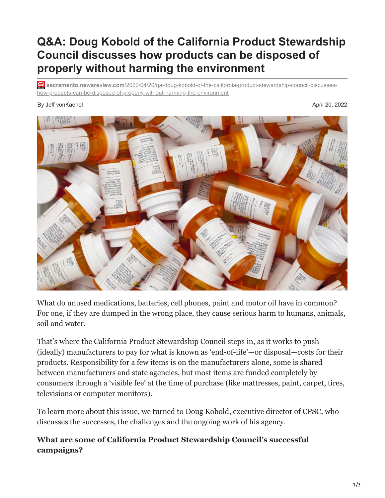# **Q&A: Doug Kobold of the California Product Stewardship Council discusses how products can be disposed of properly without harming the environment**

**sacramento.newsreview.com**[/2022/04/20/qa-doug-kobold-of-the-california-product-stewardship-council-discusses](https://sacramento.newsreview.com/2022/04/20/qa-doug-kobold-of-the-california-product-stewardship-council-discusses-how-products-can-be-disposed-of-properly-without-harming-the-environment/)how-products-can-be-disposed-of-properly-without-harming-the-environment

#### By Jeff vonKaenel April 20, 2022



What do unused medications, batteries, cell phones, paint and motor oil have in common? For one, if they are dumped in the wrong place, they cause serious harm to humans, animals, soil and water.

That's where the California Product Stewardship Council steps in, as it works to push (ideally) manufacturers to pay for what is known as 'end-of-life'—or disposal—costs for their products. Responsibility for a few items is on the manufacturers alone, some is shared between manufacturers and state agencies, but most items are funded completely by consumers through a 'visible fee' at the time of purchase (like mattresses, paint, carpet, tires, televisions or computer monitors).

To learn more about this issue, we turned to Doug Kobold, executive director of CPSC, who discusses the successes, the challenges and the ongoing work of his agency.

# **What are some of California Product Stewardship Council's successful campaigns?**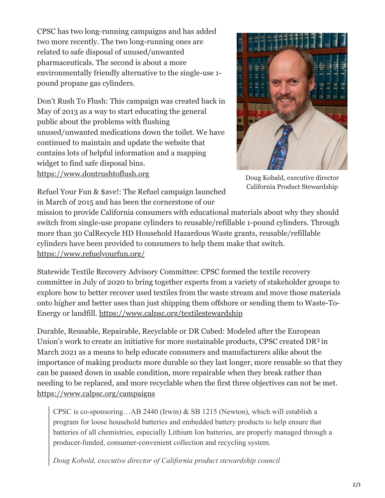CPSC has two long-running campaigns and has added two more recently. The two long-running ones are related to safe disposal of unused/unwanted pharmaceuticals. The second is about a more environmentally friendly alternative to the single-use 1 pound propane gas cylinders.

Don't Rush To Flush: This campaign was created back in May of 2013 as a way to start educating the general public about the problems with flushing unused/unwanted medications down the toilet. We have continued to maintain and update the website that contains lots of helpful information and a mapping widget to find safe disposal bins. [https://www.dontrushtoflush.org](https://www.dontrushtoflush.org/)



Doug Kobald, executive director California Product Stewardship

Refuel Your Fun & \$ave!: The Refuel campaign launched in March of 2015 and has been the cornerstone of our

mission to provide California consumers with educational materials about why they should switch from single-use propane cylinders to reusable/refillable 1-pound cylinders. Through more than 30 CalRecycle HD Household Hazardous Waste grants, reusable/refillable cylinders have been provided to consumers to help them make that switch. <https://www.refuelyourfun.org/>

Statewide Textile Recovery Advisory Committee: CPSC formed the textile recovery committee in July of 2020 to bring together experts from a variety of stakeholder groups to explore how to better recover used textiles from the waste stream and move those materials onto higher and better uses than just shipping them offshore or sending them to Waste-To-Energy or landfill. <https://www.calpsc.org/textilestewardship>

Durable, Reusable, Repairable, Recyclable or DR Cubed: Modeled after the European Union's work to create an initiative for more sustainable products, CPSC created DR<sup>3</sup> in March 2021 as a means to help educate consumers and manufacturers alike about the importance of making products more durable so they last longer, more reusable so that they can be passed down in usable condition, more repairable when they break rather than needing to be replaced, and more recyclable when the first three objectives can not be met. <https://www.calpsc.org/campaigns>

CPSC is co-sponsoring…AB 2440 (Irwin) & SB 1215 (Newton), which will establish a program for loose household batteries and embedded battery products to help ensure that batteries of all chemistries, especially Lithium Ion batteries, are properly managed through a producer-funded, consumer-convenient collection and recycling system.

*Doug Kobold, executive director of California product stewardship council*